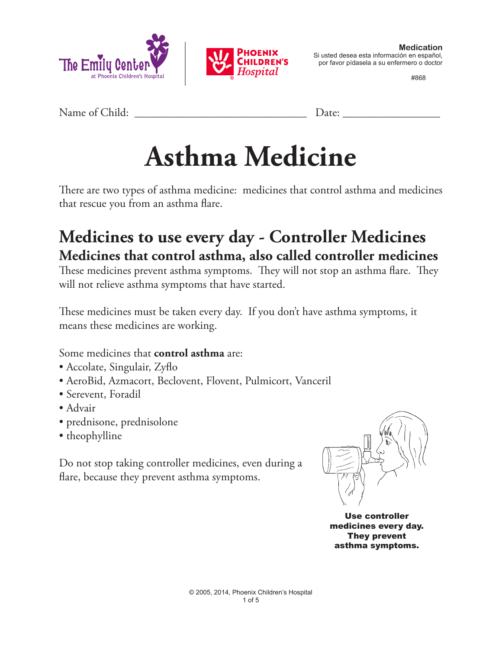



por favor pídasela a su enfermero o doctor

#868

Name of Child: <u>Date:</u>

# **Asthma Medicine**

There are two types of asthma medicine: medicines that control asthma and medicines that rescue you from an asthma flare.

## **Medicines to use every day - Controller Medicines Medicines that control asthma, also called controller medicines**

These medicines prevent asthma symptoms. They will not stop an asthma flare. They will not relieve asthma symptoms that have started.

These medicines must be taken every day. If you don't have asthma symptoms, it means these medicines are working.

Some medicines that **control asthma** are:

- Accolate, Singulair, Zyflo
- AeroBid, Azmacort, Beclovent, Flovent, Pulmicort, Vanceril
- Serevent, Foradil
- Advair
- prednisone, prednisolone
- theophylline

Do not stop taking controller medicines, even during a flare, because they prevent asthma symptoms.



Use controller medicines every day. They prevent asthma symptoms.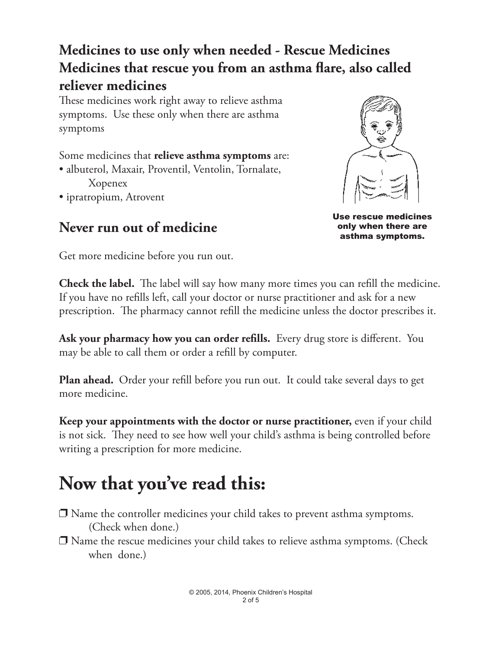### **Medicines to use only when needed - Rescue Medicines Medicines that rescue you from an asthma flare, also called reliever medicines**

These medicines work right away to relieve asthma symptoms. Use these only when there are asthma symptoms

Some medicines that **relieve asthma symptoms** are: • albuterol, Maxair, Proventil, Ventolin, Tornalate, Xopenex • ipratropium, Atrovent

#### **Never run out of medicine**



Use rescue medicines only when there are asthma symptoms.

Get more medicine before you run out.

**Check the label.** The label will say how many more times you can refill the medicine. If you have no refills left, call your doctor or nurse practitioner and ask for a new prescription. The pharmacy cannot refill the medicine unless the doctor prescribes it.

**Ask your pharmacy how you can order refills.** Every drug store is different. You may be able to call them or order a refill by computer.

**Plan ahead.** Order your refill before you run out. It could take several days to get more medicine.

**Keep your appointments with the doctor or nurse practitioner,** even if your child is not sick. They need to see how well your child's asthma is being controlled before writing a prescription for more medicine.

## **Now that you've read this:**

- $\Box$  Name the controller medicines your child takes to prevent asthma symptoms. (Check when done.)
- $\Box$  Name the rescue medicines your child takes to relieve asthma symptoms. (Check when done.)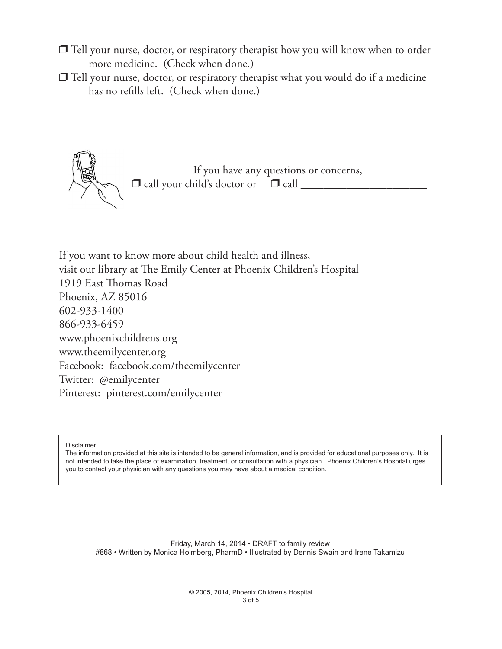- $\Box$  Tell your nurse, doctor, or respiratory therapist how you will know when to order more medicine. (Check when done.)
- $\Box$  Tell your nurse, doctor, or respiratory therapist what you would do if a medicine has no refills left. (Check when done.)



If you want to know more about child health and illness, visit our library at The Emily Center at Phoenix Children's Hospital 1919 East Thomas Road Phoenix, AZ 85016 602-933-1400 866-933-6459 www.phoenixchildrens.org www.theemilycenter.org Facebook: facebook.com/theemilycenter Twitter: @emilycenter Pinterest: pinterest.com/emilycenter

Disclaimer

The information provided at this site is intended to be general information, and is provided for educational purposes only. It is not intended to take the place of examination, treatment, or consultation with a physician. Phoenix Children's Hospital urges you to contact your physician with any questions you may have about a medical condition.

Friday, March 14, 2014 • DRAFT to family review #868 • Written by Monica Holmberg, PharmD • Illustrated by Dennis Swain and Irene Takamizu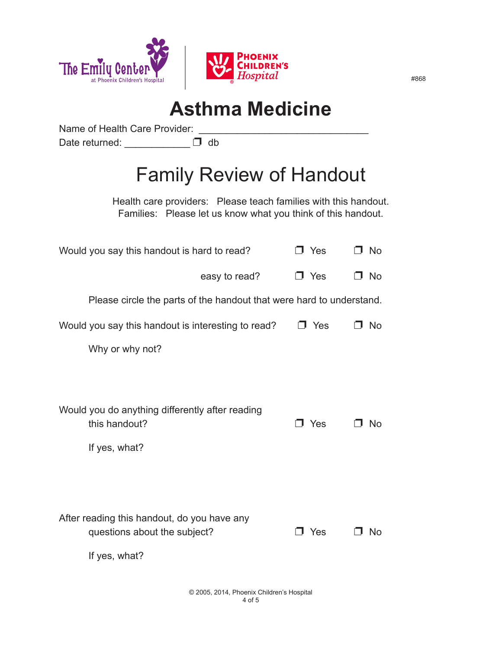

## **Asthma Medicine**

Name of Health Care Provider: Date returned: \_\_\_\_\_\_\_\_\_\_\_\_\_\_\_ D db

## Family Review of Handout

Health care providers: Please teach families with this handout. Families: Please let us know what you think of this handout.

| Would you say this handout is hard to read?                                       | J Yes      | □ No      |
|-----------------------------------------------------------------------------------|------------|-----------|
| easy to read?                                                                     | $\Box$ Yes | $\Box$ No |
| Please circle the parts of the handout that were hard to understand.              |            |           |
| Would you say this handout is interesting to read?                                | □ Yes      | <b>No</b> |
| Why or why not?                                                                   |            |           |
|                                                                                   |            |           |
| Would you do anything differently after reading<br>this handout?<br>If yes, what? | コ Yes      | -No       |
|                                                                                   |            |           |
|                                                                                   |            |           |
| After reading this handout, do you have any<br>questions about the subject?       | J Yes      | No        |
| If yes, what?                                                                     |            |           |
|                                                                                   |            |           |

#868